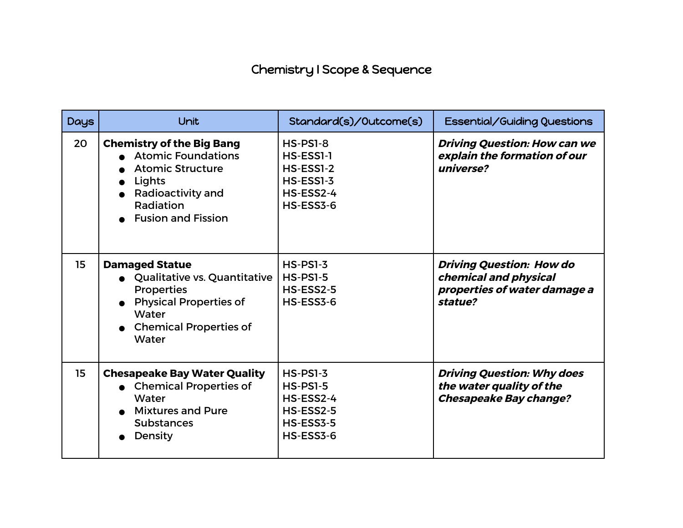## Chemistry I Scope & Sequence

| <b>Days</b> | <b>Unit</b>                                                                                                                                                       | Standard(s)/Outcome(s)                                                            | Essential/Guiding Questions                                                                         |
|-------------|-------------------------------------------------------------------------------------------------------------------------------------------------------------------|-----------------------------------------------------------------------------------|-----------------------------------------------------------------------------------------------------|
| 20          | <b>Chemistry of the Big Bang</b><br><b>Atomic Foundations</b><br><b>Atomic Structure</b><br>Lights<br>Radioactivity and<br>Radiation<br><b>Fusion and Fission</b> | <b>HS-PS1-8</b><br>HS-ESS1-1<br>HS-ESS1-2<br>HS-ESS1-3<br>HS-ESS2-4<br>HS-ESS3-6  | <b>Driving Question: How can we</b><br>explain the formation of our<br>universe?                    |
| 15          | <b>Damaged Statue</b><br>Qualitative vs. Quantitative<br><b>Properties</b><br><b>Physical Properties of</b><br>Water<br><b>Chemical Properties of</b><br>Water    | $HS-PS1-3$<br><b>HS-PS1-5</b><br>HS-ESS2-5<br>HS-ESS3-6                           | <b>Driving Question: How do</b><br>chemical and physical<br>properties of water damage a<br>statue? |
| 15          | <b>Chesapeake Bay Water Quality</b><br><b>Chemical Properties of</b><br>Water<br><b>Mixtures and Pure</b><br><b>Substances</b><br>Density                         | <b>HS-PS1-3</b><br>$HS-PSI-5$<br>HS-ESS2-4<br>HS-ESS2-5<br>HS-ESS3-5<br>HS-ESS3-6 | <b>Driving Question: Why does</b><br>the water quality of the<br><b>Chesapeake Bay change?</b>      |